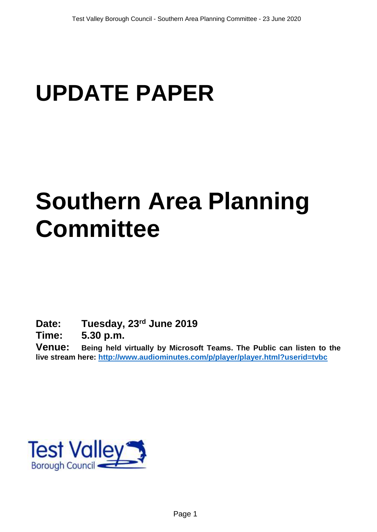# **UPDATE PAPER**

## **Southern Area Planning Committee**

**Date: Tuesday, 23rd June 2019**

**Time: 5.30 p.m.**

**Venue: Being held virtually by Microsoft Teams. The Public can listen to the live stream here:<http://www.audiominutes.com/p/player/player.html?userid=tvbc>**

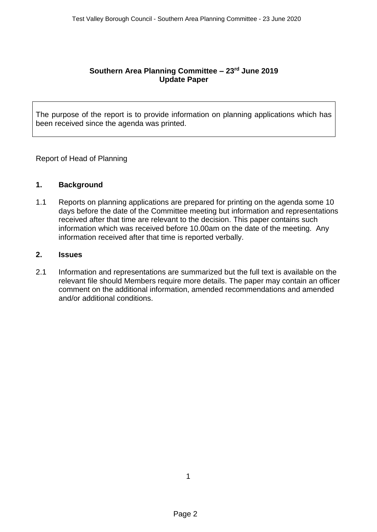#### **Southern Area Planning Committee – 23rd June 2019 Update Paper**

The purpose of the report is to provide information on planning applications which has been received since the agenda was printed.

Report of Head of Planning

#### **1. Background**

1.1 Reports on planning applications are prepared for printing on the agenda some 10 days before the date of the Committee meeting but information and representations received after that time are relevant to the decision. This paper contains such information which was received before 10.00am on the date of the meeting. Any information received after that time is reported verbally.

#### **2. Issues**

2.1 Information and representations are summarized but the full text is available on the relevant file should Members require more details. The paper may contain an officer comment on the additional information, amended recommendations and amended and/or additional conditions.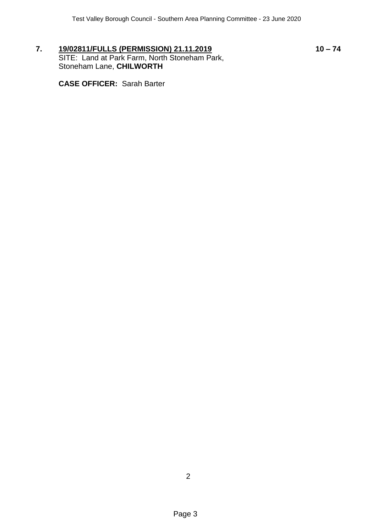**7. 19/02811/FULLS (PERMISSION) 21.11.2019 10 – 74** SITE: Land at Park Farm, North Stoneham Park, Stoneham Lane, **CHILWORTH**

**CASE OFFICER:** Sarah Barter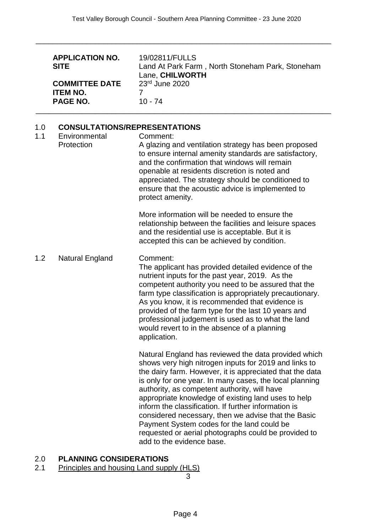\_\_\_\_\_\_\_\_\_\_\_\_\_\_\_\_\_\_\_\_\_\_\_\_\_\_\_\_\_\_\_\_\_\_\_\_\_\_\_\_\_\_\_\_\_\_\_\_\_\_\_\_\_\_\_\_\_\_\_\_\_\_\_\_\_\_\_\_\_\_

|            | <b>APPLICATION NO.</b><br><b>SITE</b><br><b>COMMITTEE DATE</b><br><b>ITEM NO.</b><br><b>PAGE NO.</b> | 19/02811/FULLS<br>Land At Park Farm, North Stoneham Park, Stoneham<br>Lane, CHILWORTH<br>23rd June 2020<br>7<br>$10 - 74$                                                                                                                                                                                                                                                                                                                                                                                                                                                                     |
|------------|------------------------------------------------------------------------------------------------------|-----------------------------------------------------------------------------------------------------------------------------------------------------------------------------------------------------------------------------------------------------------------------------------------------------------------------------------------------------------------------------------------------------------------------------------------------------------------------------------------------------------------------------------------------------------------------------------------------|
| 1.0<br>1.1 | <b>CONSULTATIONS/REPRESENTATIONS</b><br>Environmental<br>Protection                                  | Comment:<br>A glazing and ventilation strategy has been proposed<br>to ensure internal amenity standards are satisfactory,<br>and the confirmation that windows will remain<br>openable at residents discretion is noted and<br>appreciated. The strategy should be conditioned to<br>ensure that the acoustic advice is implemented to<br>protect amenity.                                                                                                                                                                                                                                   |
|            |                                                                                                      | More information will be needed to ensure the<br>relationship between the facilities and leisure spaces<br>and the residential use is acceptable. But it is<br>accepted this can be achieved by condition.                                                                                                                                                                                                                                                                                                                                                                                    |
| 1.2        | Natural England                                                                                      | Comment:<br>The applicant has provided detailed evidence of the<br>nutrient inputs for the past year, 2019. As the<br>competent authority you need to be assured that the<br>farm type classification is appropriately precautionary.<br>As you know, it is recommended that evidence is<br>provided of the farm type for the last 10 years and<br>professional judgement is used as to what the land<br>would revert to in the absence of a planning<br>application.                                                                                                                         |
|            |                                                                                                      | Natural England has reviewed the data provided which<br>shows very high nitrogen inputs for 2019 and links to<br>the dairy farm. However, it is appreciated that the data<br>is only for one year. In many cases, the local planning<br>authority, as competent authority, will have<br>appropriate knowledge of existing land uses to help<br>inform the classification. If further information is<br>considered necessary, then we advise that the Basic<br>Payment System codes for the land could be<br>requested or aerial photographs could be provided to<br>add to the evidence base. |

### 2.0 **PLANNING CONSIDERATIONS**

#### 2.1 Principles and housing Land supply (HLS)

3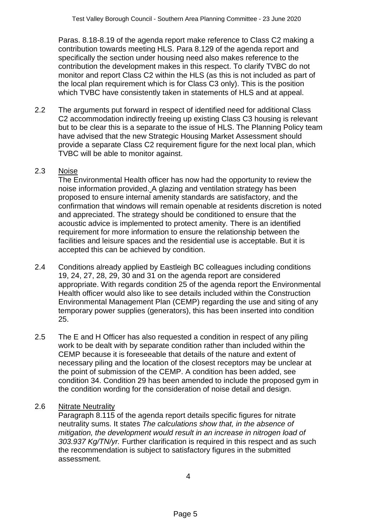Paras. 8.18-8.19 of the agenda report make reference to Class C2 making a contribution towards meeting HLS. Para 8.129 of the agenda report and specifically the section under housing need also makes reference to the contribution the development makes in this respect. To clarify TVBC do not monitor and report Class C2 within the HLS (as this is not included as part of the local plan requirement which is for Class C3 only). This is the position which TVBC have consistently taken in statements of HLS and at appeal.

2.2 The arguments put forward in respect of identified need for additional Class C2 accommodation indirectly freeing up existing Class C3 housing is relevant but to be clear this is a separate to the issue of HLS. The Planning Policy team have advised that the new Strategic Housing Market Assessment should provide a separate Class C2 requirement figure for the next local plan, which TVBC will be able to monitor against.

#### 2.3 Noise

The Environmental Health officer has now had the opportunity to review the noise information provided. A glazing and ventilation strategy has been proposed to ensure internal amenity standards are satisfactory, and the confirmation that windows will remain openable at residents discretion is noted and appreciated. The strategy should be conditioned to ensure that the acoustic advice is implemented to protect amenity. There is an identified requirement for more information to ensure the relationship between the facilities and leisure spaces and the residential use is acceptable. But it is accepted this can be achieved by condition.

- 2.4 Conditions already applied by Eastleigh BC colleagues including conditions 19, 24, 27, 28, 29, 30 and 31 on the agenda report are considered appropriate. With regards condition 25 of the agenda report the Environmental Health officer would also like to see details included within the Construction Environmental Management Plan (CEMP) regarding the use and siting of any temporary power supplies (generators), this has been inserted into condition 25.
- 2.5 The E and H Officer has also requested a condition in respect of any piling work to be dealt with by separate condition rather than included within the CEMP because it is foreseeable that details of the nature and extent of necessary piling and the location of the closest receptors may be unclear at the point of submission of the CEMP. A condition has been added, see condition 34. Condition 29 has been amended to include the proposed gym in the condition wording for the consideration of noise detail and design.

#### 2.6 Nitrate Neutrality

Paragraph 8.115 of the agenda report details specific figures for nitrate neutrality sums. It states *The calculations show that, in the absence of mitigation, the development would result in an increase in nitrogen load of 303.937 Kg/TN/yr.* Further clarification is required in this respect and as such the recommendation is subject to satisfactory figures in the submitted assessment.

4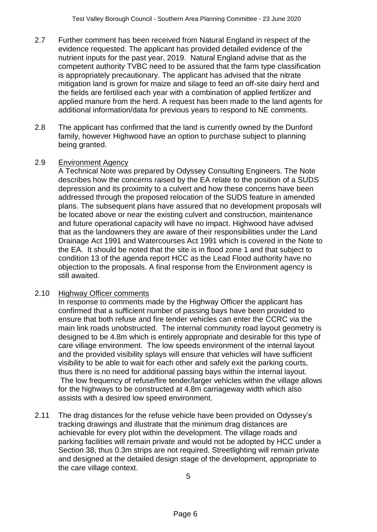- 2.7 Further comment has been received from Natural England in respect of the evidence requested. The applicant has provided detailed evidence of the nutrient inputs for the past year, 2019. Natural England advise that as the competent authority TVBC need to be assured that the farm type classification is appropriately precautionary. The applicant has advised that the nitrate mitigation land is grown for maize and silage to feed an off-site dairy herd and the fields are fertilised each year with a combination of applied fertilizer and applied manure from the herd. A request has been made to the land agents for additional information/data for previous years to respond to NE comments.
- 2.8 The applicant has confirmed that the land is currently owned by the Dunford family, however Highwood have an option to purchase subject to planning being granted.

#### 2.9 Environment Agency

A Technical Note was prepared by Odyssey Consulting Engineers. The Note describes how the concerns raised by the EA relate to the position of a SUDS depression and its proximity to a culvert and how these concerns have been addressed through the proposed relocation of the SUDS feature in amended plans. The subsequent plans have assured that no development proposals will be located above or near the existing culvert and construction, maintenance and future operational capacity will have no impact. Highwood have advised that as the landowners they are aware of their responsibilities under the Land Drainage Act 1991 and Watercourses Act 1991 which is covered in the Note to the EA. It should be noted that the site is in flood zone 1 and that subject to condition 13 of the agenda report HCC as the Lead Flood authority have no objection to the proposals. A final response from the Environment agency is still awaited.

#### 2.10 Highway Officer comments

In response to comments made by the Highway Officer the applicant has confirmed that a sufficient number of passing bays have been provided to ensure that both refuse and fire tender vehicles can enter the CCRC via the main link roads unobstructed. The internal community road layout geometry is designed to be 4.8m which is entirely appropriate and desirable for this type of care village environment. The low speeds environment of the internal layout and the provided visibility splays will ensure that vehicles will have sufficient visibility to be able to wait for each other and safely exit the parking courts, thus there is no need for additional passing bays within the internal layout. The low frequency of refuse/fire tender/larger vehicles within the village allows for the highways to be constructed at 4.8m carriageway width which also assists with a desired low speed environment.

2.11 The drag distances for the refuse vehicle have been provided on Odyssey's tracking drawings and illustrate that the minimum drag distances are achievable for every plot within the development. The village roads and parking facilities will remain private and would not be adopted by HCC under a Section 38, thus 0.3m strips are not required. Streetlighting will remain private and designed at the detailed design stage of the development, appropriate to the care village context.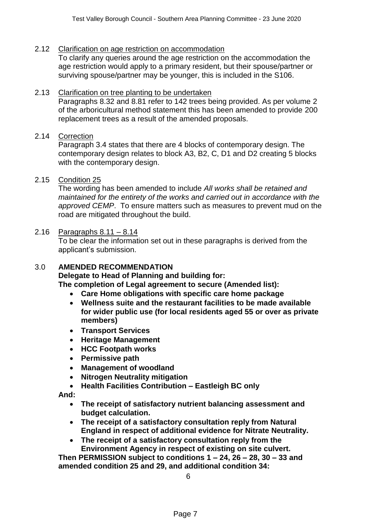#### 2.12 Clarification on age restriction on accommodation

To clarify any queries around the age restriction on the accommodation the age restriction would apply to a primary resident, but their spouse/partner or surviving spouse/partner may be younger, this is included in the S106.

#### 2.13 Clarification on tree planting to be undertaken

Paragraphs 8.32 and 8.81 refer to 142 trees being provided. As per volume 2 of the arboricultural method statement this has been amended to provide 200 replacement trees as a result of the amended proposals.

#### 2.14 Correction

Paragraph 3.4 states that there are 4 blocks of contemporary design. The contemporary design relates to block A3, B2, C, D1 and D2 creating 5 blocks with the contemporary design.

#### 2.15 Condition 25

The wording has been amended to include *All works shall be retained and maintained for the entirety of the works and carried out in accordance with the approved CEMP*. To ensure matters such as measures to prevent mud on the road are mitigated throughout the build.

#### 2.16 Paragraphs 8.11 – 8.14

To be clear the information set out in these paragraphs is derived from the applicant's submission.

#### 3.0 **AMENDED RECOMMENDATION**

**Delegate to Head of Planning and building for:**

**The completion of Legal agreement to secure (Amended list):** 

- **Care Home obligations with specific care home package**
- **Wellness suite and the restaurant facilities to be made available for wider public use (for local residents aged 55 or over as private members)**
- **Transport Services**
- **Heritage Management**
- **HCC Footpath works**
- **Permissive path**
- **Management of woodland**
- **Nitrogen Neutrality mitigation**
- **Health Facilities Contribution – Eastleigh BC only**

**And:**

- **The receipt of satisfactory nutrient balancing assessment and budget calculation.**
- **The receipt of a satisfactory consultation reply from Natural England in respect of additional evidence for Nitrate Neutrality.**
- **The receipt of a satisfactory consultation reply from the Environment Agency in respect of existing on site culvert.**

**Then PERMISSION subject to conditions 1 – 24, 26 – 28, 30 – 33 and amended condition 25 and 29, and additional condition 34:**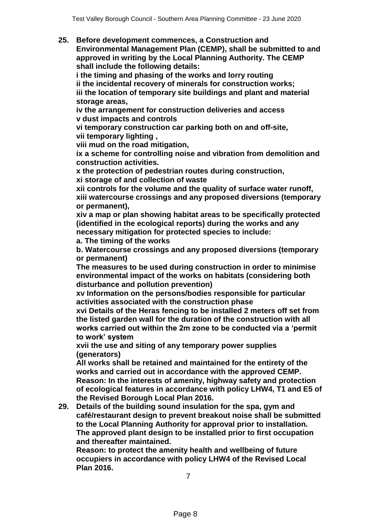**25. Before development commences, a Construction and Environmental Management Plan (CEMP), shall be submitted to and approved in writing by the Local Planning Authority. The CEMP shall include the following details:** 

**i the timing and phasing of the works and lorry routing ii the incidental recovery of minerals for construction works; iii the location of temporary site buildings and plant and material storage areas,** 

**iv the arrangement for construction deliveries and access v dust impacts and controls** 

**vi temporary construction car parking both on and off-site, vii temporary lighting ,** 

**viii mud on the road mitigation,** 

**ix a scheme for controlling noise and vibration from demolition and construction activities.**

**x the protection of pedestrian routes during construction, xi storage of and collection of waste** 

**xii controls for the volume and the quality of surface water runoff, xiii watercourse crossings and any proposed diversions (temporary or permanent),** 

**xiv a map or plan showing habitat areas to be specifically protected (identified in the ecological reports) during the works and any necessary mitigation for protected species to include:** 

**a. The timing of the works** 

**b. Watercourse crossings and any proposed diversions (temporary or permanent)** 

**The measures to be used during construction in order to minimise environmental impact of the works on habitats (considering both disturbance and pollution prevention)** 

**xv Information on the persons/bodies responsible for particular activities associated with the construction phase** 

**xvi Details of the Heras fencing to be installed 2 meters off set from the listed garden wall for the duration of the construction with all works carried out within the 2m zone to be conducted via a 'permit to work' system** 

**xvii the use and siting of any temporary power supplies (generators)**

**All works shall be retained and maintained for the entirety of the works and carried out in accordance with the approved CEMP. Reason: In the interests of amenity, highway safety and protection of ecological features in accordance with policy LHW4, T1 and E5 of the Revised Borough Local Plan 2016.** 

**29. Details of the building sound insulation for the spa, gym and café/restaurant design to prevent breakout noise shall be submitted to the Local Planning Authority for approval prior to installation. The approved plant design to be installed prior to first occupation and thereafter maintained.** 

**Reason: to protect the amenity health and wellbeing of future occupiers in accordance with policy LHW4 of the Revised Local Plan 2016.**